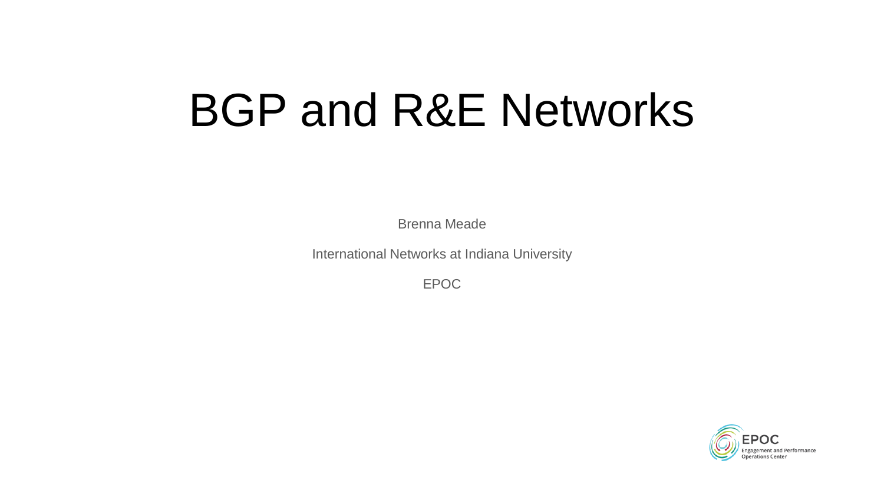# BGP and R&E Networks

Brenna Meade

International Networks at Indiana University

EPOC

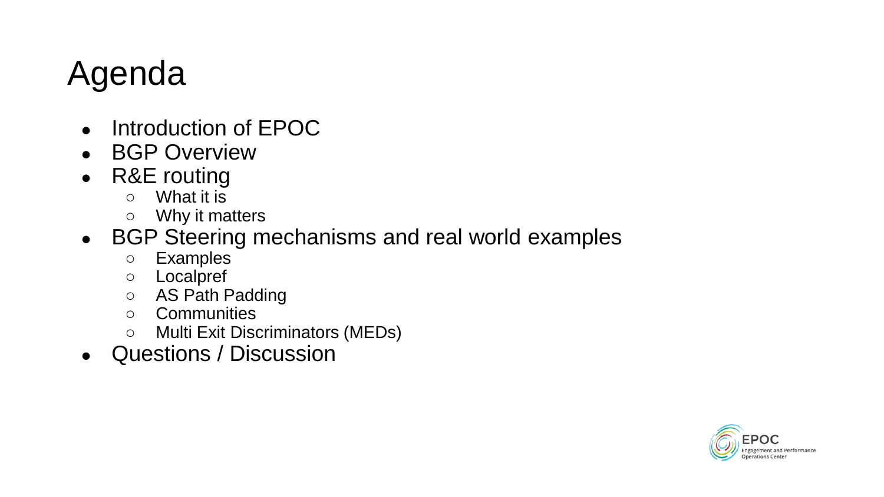#### Agenda

- Introduction of EPOC
- BGP Overview
- R&E routing
	- What it is
	- Why it matters
- BGP Steering mechanisms and real world examples
	- Examples
	- Localpref
	- AS Path Padding
	- Communities
	- Multi Exit Discriminators (MEDs)
- Questions / Discussion

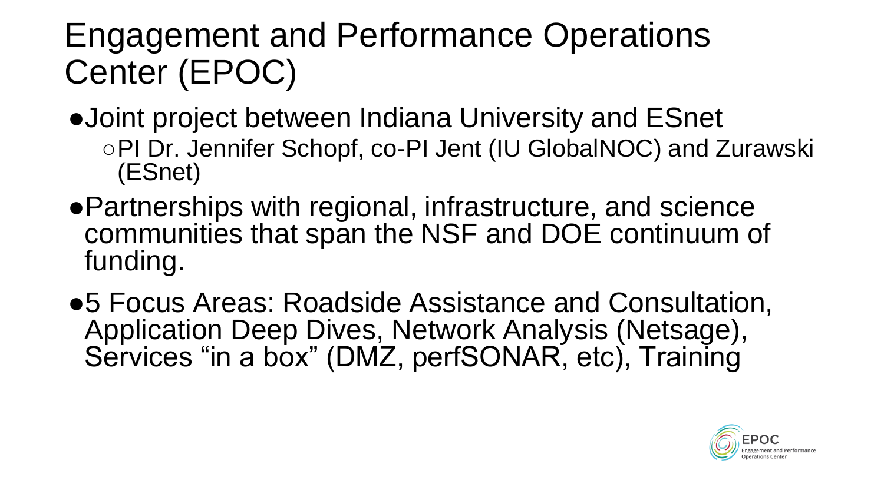#### Engagement and Performance Operations Center (EPOC)

- ●Joint project between Indiana University and ESnet ○PI Dr. Jennifer Schopf, co-PI Jent (IU GlobalNOC) and Zurawski (ESnet)
- ●Partnerships with regional, infrastructure, and science communities that span the NSF and DOE continuum of funding.
- ●5 Focus Areas: Roadside Assistance and Consultation, Application Deep Dives, Network Analysis (Netsage), Services "in a box" (DMZ, perfSONAR, etc), Training

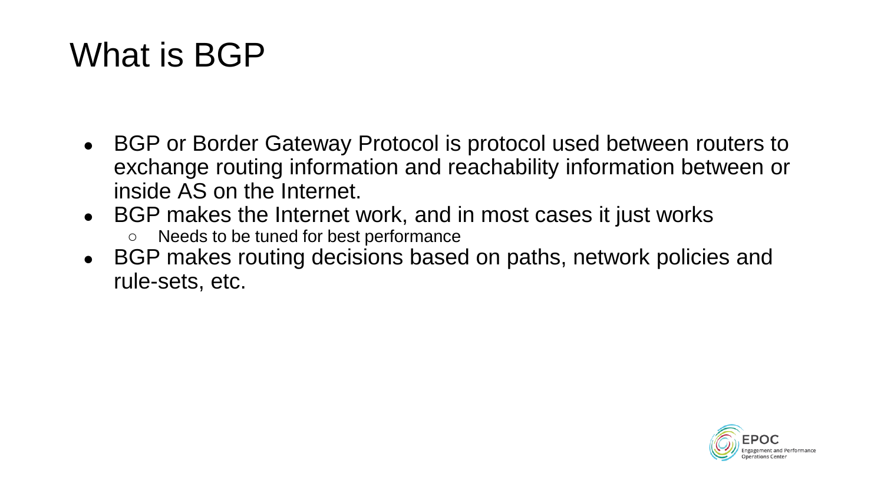#### What is BGP

- BGP or Border Gateway Protocol is protocol used between routers to exchange routing information and reachability information between or inside AS on the Internet.
- BGP makes the Internet work, and in most cases it just works
	- Needs to be tuned for best performance
- BGP makes routing decisions based on paths, network policies and rule-sets, etc.

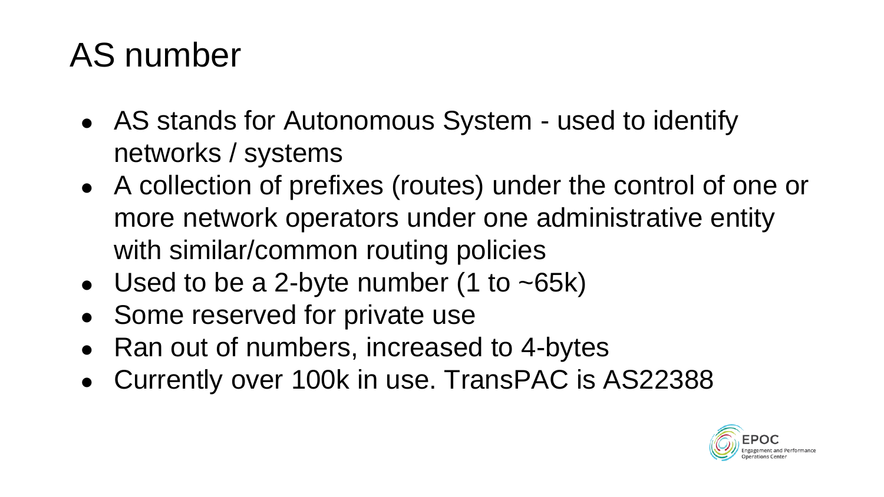#### AS number

- AS stands for Autonomous System used to identify networks / systems
- A collection of prefixes (routes) under the control of one or more network operators under one administrative entity with similar/common routing policies
- Used to be a 2-byte number (1 to  $\sim$  65k)
- Some reserved for private use
- Ran out of numbers, increased to 4-bytes
- Currently over 100k in use. TransPAC is AS22388

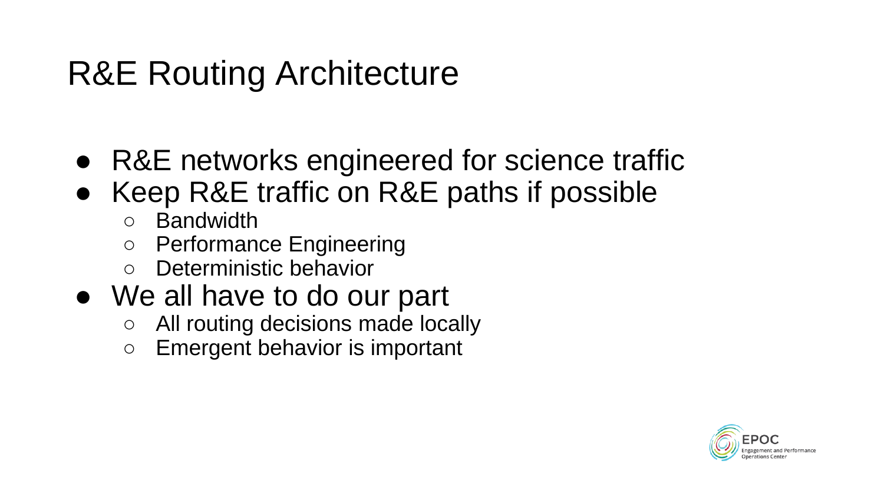#### R&E Routing Architecture

- R&E networks engineered for science traffic
- Keep R&E traffic on R&E paths if possible
	- Bandwidth
	- Performance Engineering
	- Deterministic behavior
- We all have to do our part
	- All routing decisions made locally
	- Emergent behavior is important

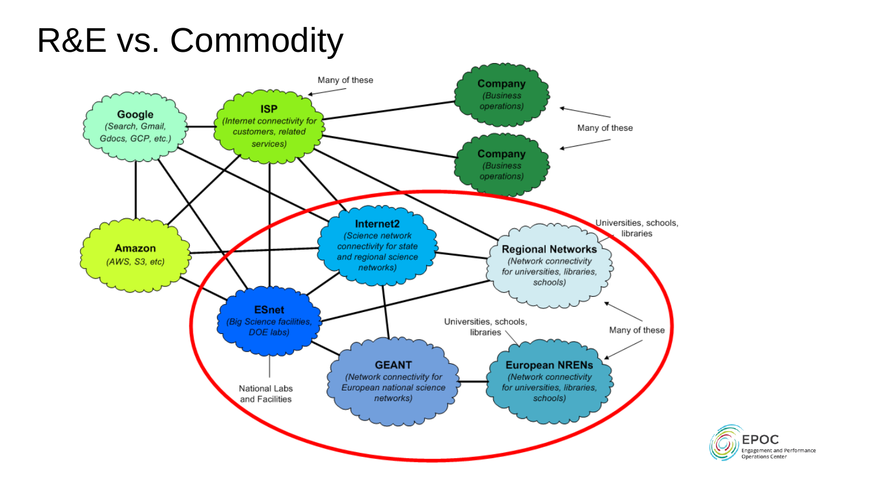#### R&E vs. Commodity



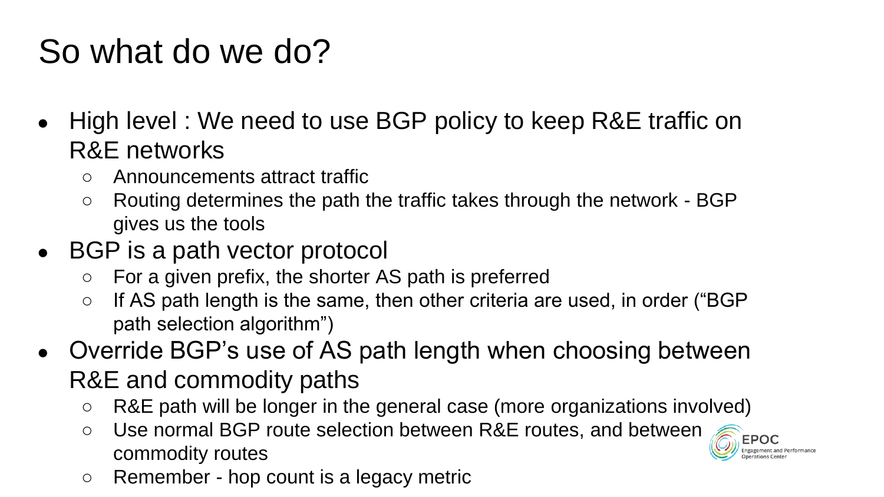#### So what do we do?

- High level: We need to use BGP policy to keep R&E traffic on R&E networks
	- Announcements attract traffic
	- Routing determines the path the traffic takes through the network BGP gives us the tools
- BGP is a path vector protocol
	- For a given prefix, the shorter AS path is preferred
	- If AS path length is the same, then other criteria are used, in order ("BGP path selection algorithm")
- Override BGP's use of AS path length when choosing between R&E and commodity paths
	- R&E path will be longer in the general case (more organizations involved)
	- Use normal BGP route selection between R&E routes, and between commodity routes



○ Remember - hop count is a legacy metric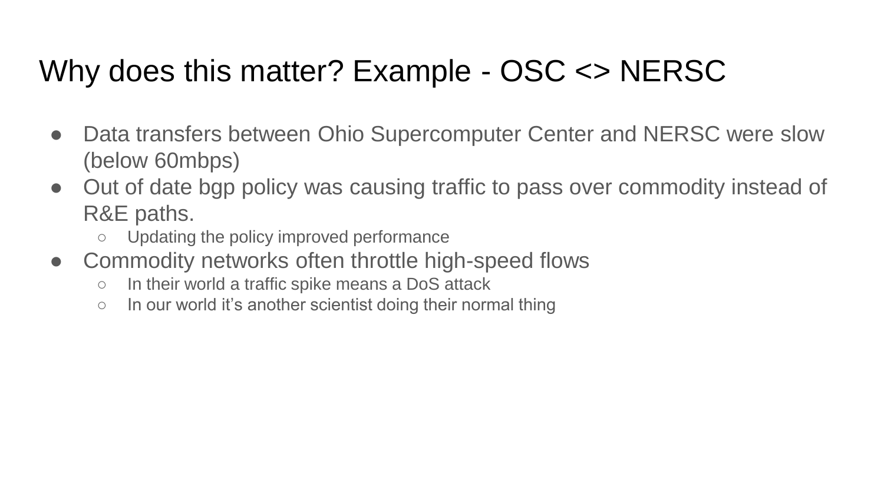#### Why does this matter? Example - OSC <> NERSC

- Data transfers between Ohio Supercomputer Center and NERSC were slow (below 60mbps)
- Out of date bgp policy was causing traffic to pass over commodity instead of R&E paths.
	- Updating the policy improved performance
- Commodity networks often throttle high-speed flows
	- In their world a traffic spike means a DoS attack
	- $\circ$  In our world it's another scientist doing their normal thing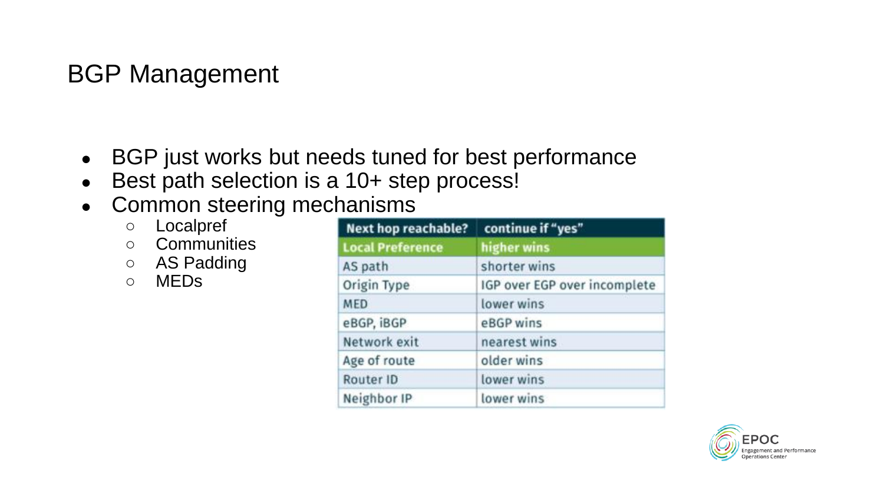#### BGP Management

- BGP just works but needs tuned for best performance
- Best path selection is a 10+ step process!
- Common steering mechanisms
	- Localpref
	- Communities
	- AS Padding
	- MEDs

| <b>Next hop reachable?</b> | continue if "yes"            |
|----------------------------|------------------------------|
| <b>Local Preference</b>    | higher wins                  |
| AS path                    | shorter wins                 |
| Origin Type                | IGP over EGP over incomplete |
| <b>MED</b>                 | lower wins                   |
| eBGP, iBGP                 | eBGP wins                    |
| Network exit               | nearest wins                 |
| Age of route               | older wins                   |
| Router ID                  | lower wins                   |
| Neighbor IP                | lower wins                   |

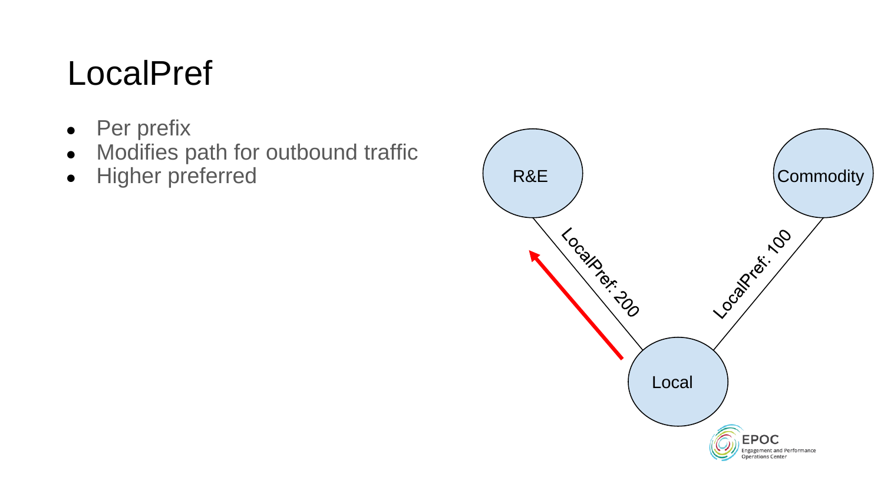#### **LocalPref**

- Per prefix
- Modifies path for outbound traffic
- Higher preferred

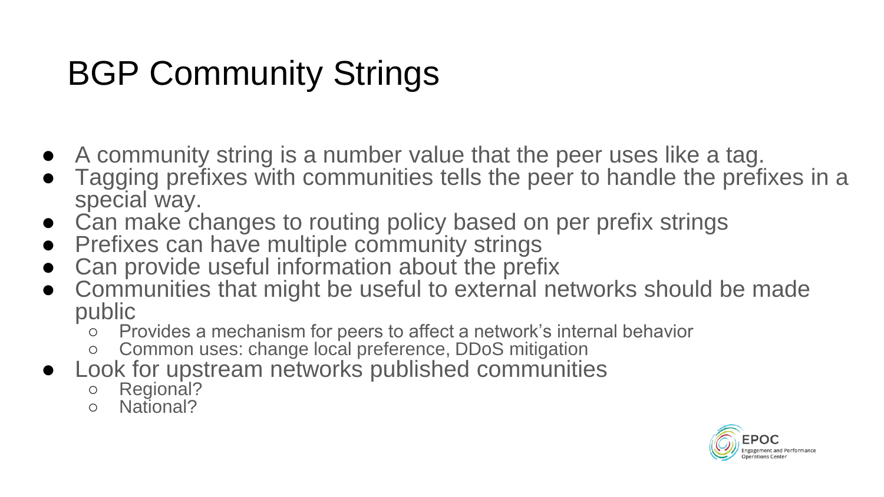### BGP Community Strings

- A community string is a number value that the peer uses like a tag.
- Tagging prefixes with communities tells the peer to handle the prefixes in a special way.
- Can make changes to routing policy based on per prefix strings
- Prefixes can have multiple community strings
- Can provide useful information about the prefix
- Communities that might be useful to external networks should be made public
	- Provides a mechanism for peers to affect a network's internal behavior
	- Common uses: change local preference, DDoS mitigation
- Look for upstream networks published communities
	- Regional?
	- National?

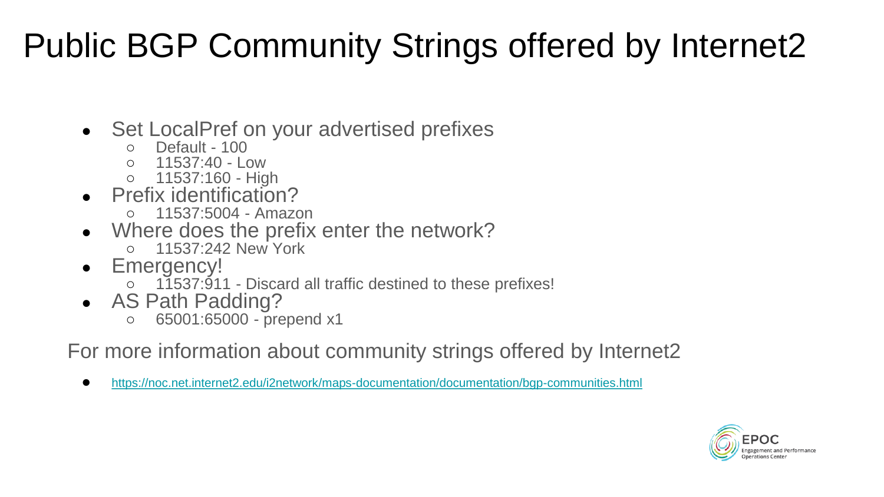#### Public BGP Community Strings offered by Internet2

- Set LocalPref on your advertised prefixes
	- Default 100
	- $0.11537:40 Low$
	- 11537:160 High
- Prefix identification?
	- 11537:5004 Amazon
- Where does the prefix enter the network?
	- 11537:242 New York
- Emergency!
	- 11537:911 Discard all traffic destined to these prefixes!
- AS Path Padding?
	- 65001:65000 prepend x1

For more information about community strings offered by Internet2

● <https://noc.net.internet2.edu/i2network/maps-documentation/documentation/bgp-communities.html>

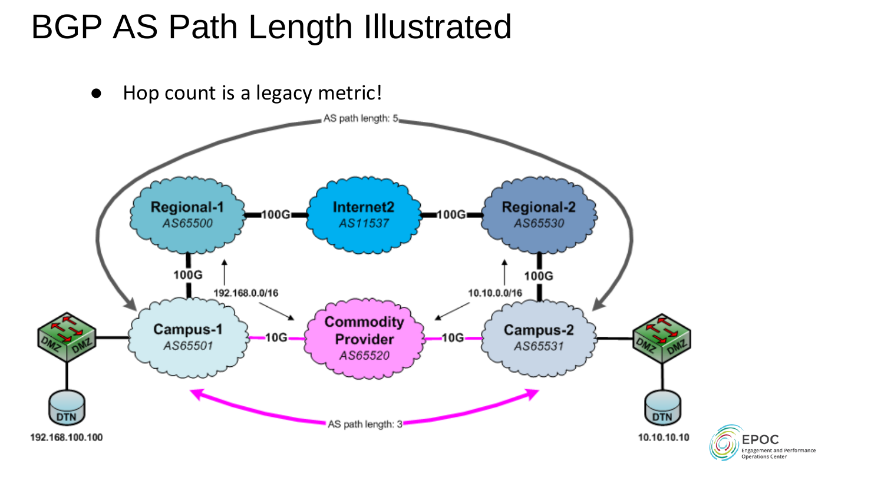#### BGP AS Path Length Illustrated

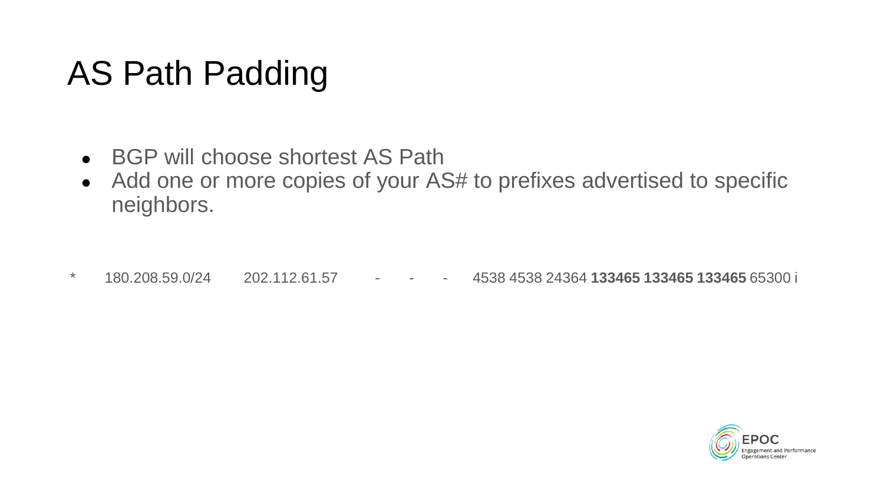#### AS Path Padding

- BGP will choose shortest AS Path
- Add one or more copies of your AS# to prefixes advertised to specific neighbors.

\* 180.208.59.0/24 202.112.61.57 - - - 4538 4538 24364 **133465 133465 133465** 65300 i

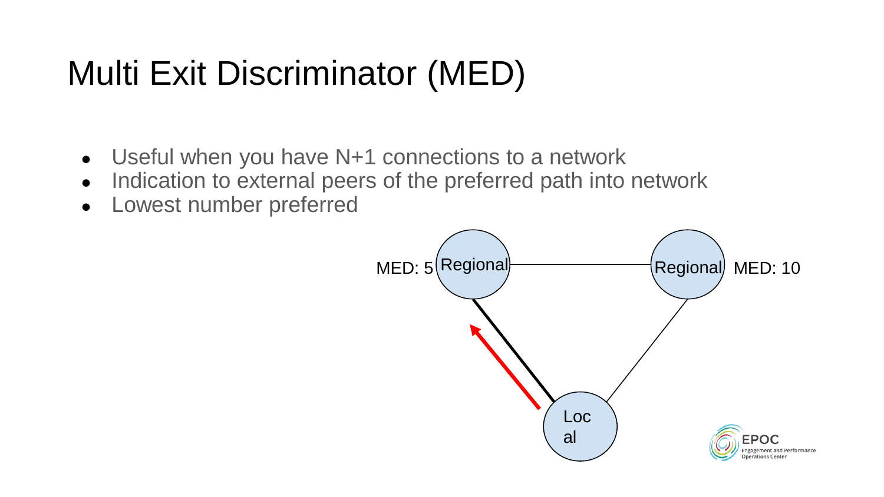#### Multi Exit Discriminator (MED)

- Useful when you have N+1 connections to a network
- Indication to external peers of the preferred path into network
- Lowest number preferred

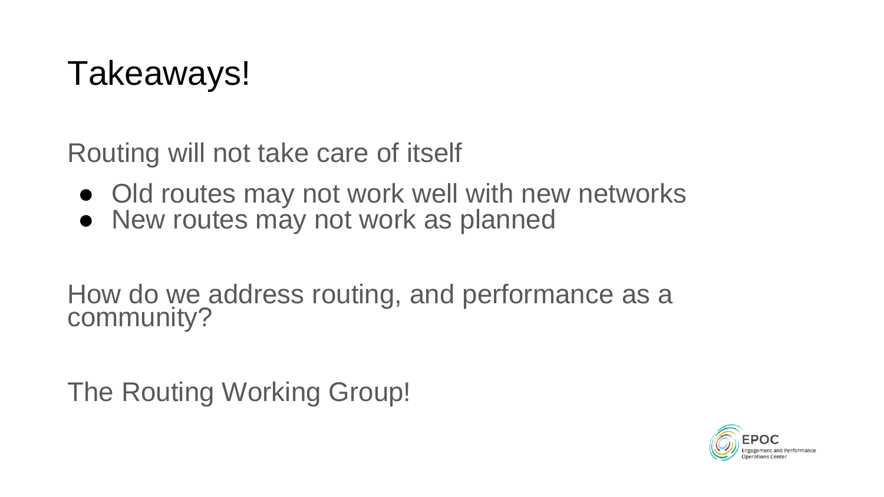#### Takeaways!

Routing will not take care of itself

- Old routes may not work well with new networks
- New routes may not work as planned

How do we address routing, and performance as a community?

The Routing Working Group!

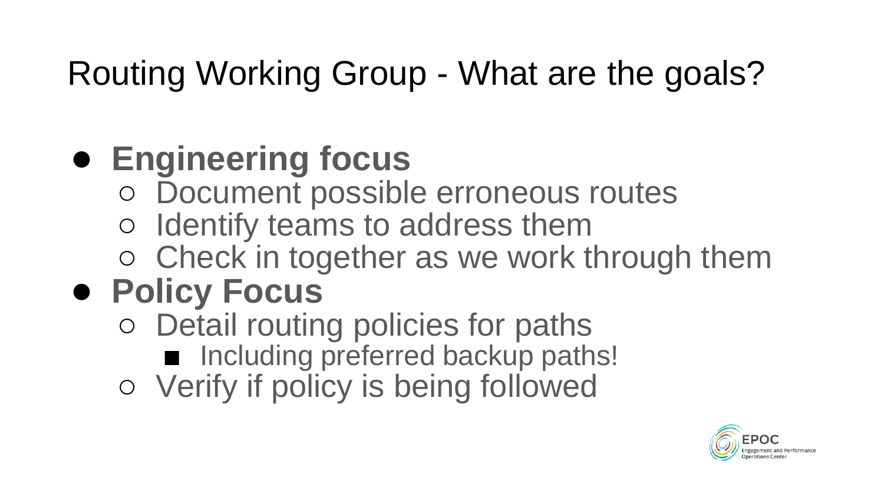#### Routing Working Group - What are the goals?

## ● **Engineering focus**

- Document possible erroneous routes
- Identify teams to address them
- Check in together as we work through them

# ● **Policy Focus**

- Detail routing policies for paths ■ Including preferred backup paths!
- Verify if policy is being followed

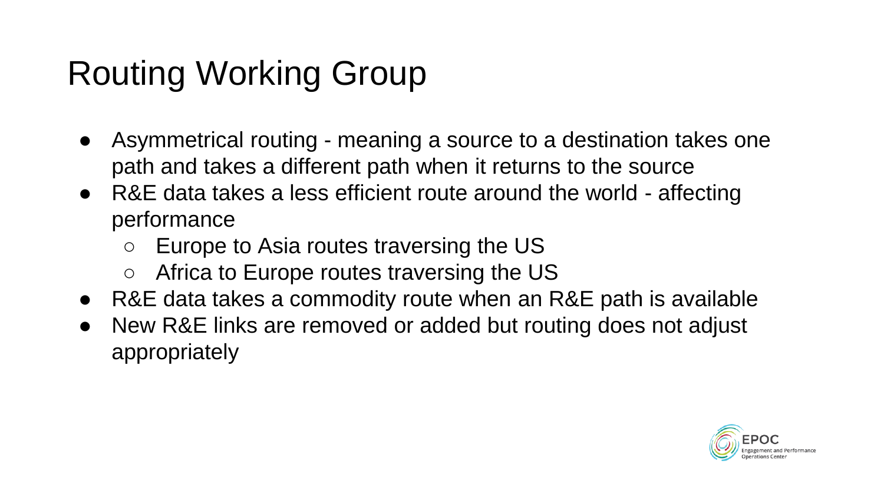### Routing Working Group

- Asymmetrical routing meaning a source to a destination takes one path and takes a different path when it returns to the source
- R&E data takes a less efficient route around the world affecting performance
	- Europe to Asia routes traversing the US
	- Africa to Europe routes traversing the US
- R&E data takes a commodity route when an R&E path is available
- New R&E links are removed or added but routing does not adjust appropriately

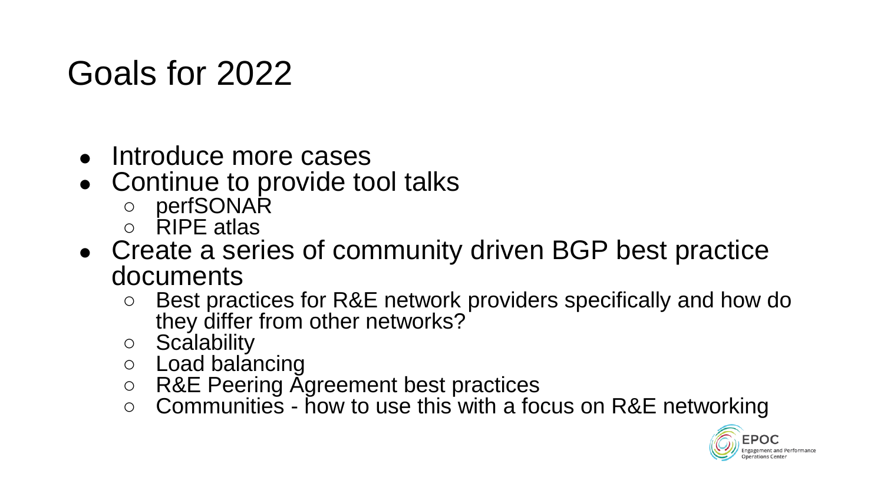#### Goals for 2022

- Introduce more cases
- Continue to provide tool talks
	- perfSONAR
	- RIPE atlas
- Create a series of community driven BGP best practice documents
	- Best practices for R&E network providers specifically and how do they differ from other networks?
	- Scalability
	- Load balancing
	- R&E Peering Agreement best practices
	- $\circ$  Communities how to use this with a focus on R&E networking